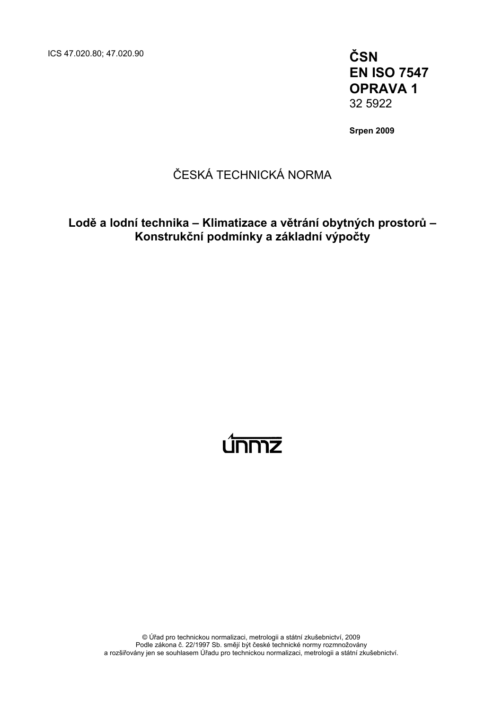ICS 47.020.80; 47.020.90 **ČSN** 

**EN ISO 7547 OPRAVA 1**  32 5922

**Srpen 2009** 

# ČESKÁ TECHNICKÁ NORMA

## **Lodě a lodní technika – Klimatizace a větrání obytných prostorů – Konstrukční podmínky a základní výpočty**

# <u>únmz</u>

© Úřad pro technickou normalizaci, metrologii a státní zkušebnictví, 2009 Podle zákona č. 22/1997 Sb. smějí být české technické normy rozmnožovány a rozšiřovány jen se souhlasem Úřadu pro technickou normalizaci, metrologii a státní zkušebnictví.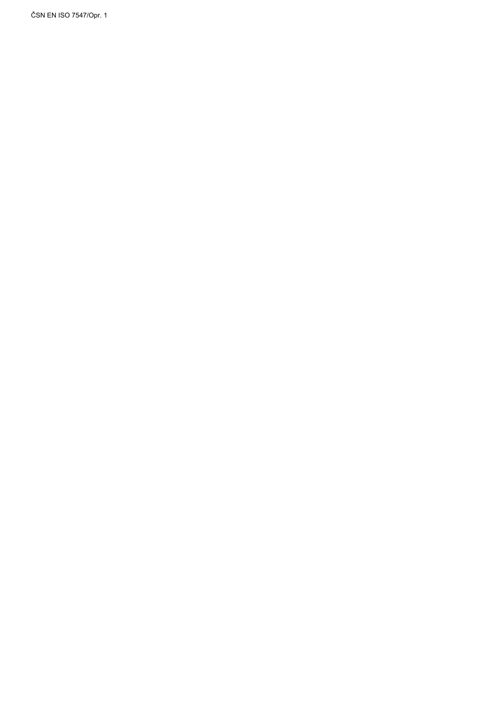ČSN EN ISO 7547/Opr. 1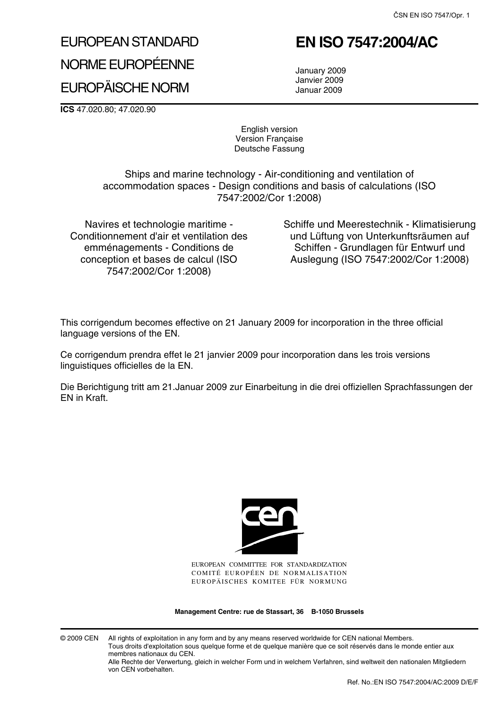# EUROPEAN STANDARD

# **EN ISO 7547:2004/AC**

January 2009 Janvier 2009 Januar 2009

NORME EUROPÉENNE

EUROPÄISCHE NORM

**ICS** 47.020.80; 47.020.90

English version Version Française Deutsche Fassung

Ships and marine technology - Air-conditioning and ventilation of accommodation spaces - Design conditions and basis of calculations (ISO 7547:2002/Cor 1:2008)

Navires et technologie maritime - Conditionnement d'air et ventilation des emménagements - Conditions de conception et bases de calcul (ISO 7547:2002/Cor 1:2008)

Schiffe und Meerestechnik - Klimatisierung und Lüftung von Unterkunftsräumen auf Schiffen - Grundlagen für Entwurf und Auslegung (ISO 7547:2002/Cor 1:2008)

This corrigendum becomes effective on 21 January 2009 for incorporation in the three official language versions of the EN.

Ce corrigendum prendra effet le 21 janvier 2009 pour incorporation dans les trois versions linguistiques officielles de la EN.

Die Berichtigung tritt am 21.Januar 2009 zur Einarbeitung in die drei offiziellen Sprachfassungen der EN in Kraft.



EUROPEAN COMMITTEE FOR STANDARDIZATION COMITÉ EUROPÉEN DE NORMALISATION EUROPÄISCHES KOMITEE FÜR NORMUNG

**Management Centre: rue de Stassart, 36 B-1050 Brussels**

© 2009 CEN All rights of exploitation in any form and by any means reserved worldwide for CEN national Members. Tous droits d'exploitation sous quelque forme et de quelque manière que ce soit réservés dans le monde entier aux membres nationaux du CEN.

Alle Rechte der Verwertung, gleich in welcher Form und in welchem Verfahren, sind weltweit den nationalen Mitgliedern von CEN vorbehalten.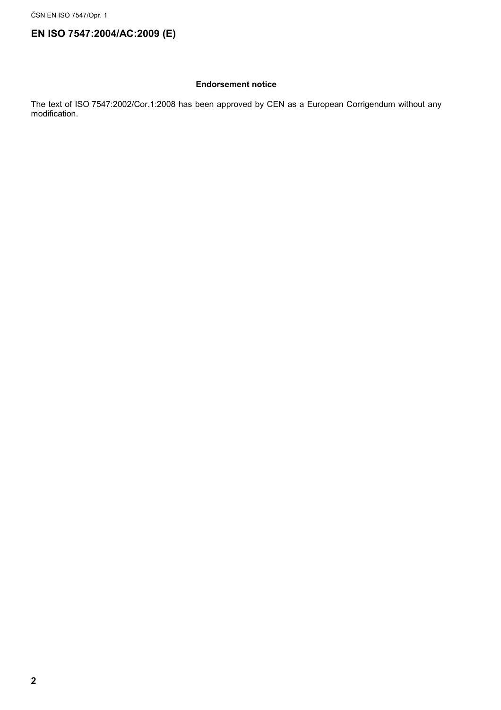ČSN EN ISO 7547/Opr. 1

### **EN ISO 7547:2004/AC:2009 (E)**

#### **Endorsement notice**

The text of ISO 7547:2002/Cor.1:2008 has been approved by CEN as a European Corrigendum without any modification.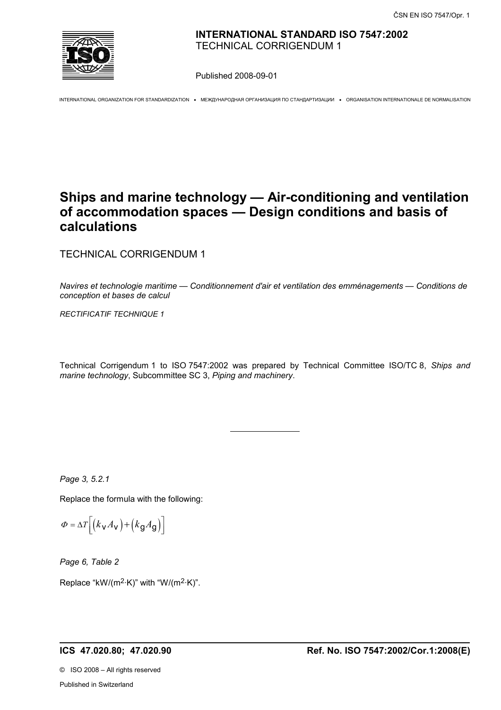

#### **INTERNATIONAL STANDARD ISO 7547:2002**  TECHNICAL CORRIGENDUM 1

Published 2008-09-01

INTERNATIONAL ORGANIZATION FOR STANDARDIZATION • МЕЖДУНАРОДНАЯ ОРГАНИЗАЦИЯ ПО СТАНДАРТИЗАЦИИ • ORGANISATION INTERNATIONALE DE NORMALISATION

# **Ships and marine technology — Air-conditioning and ventilation of accommodation spaces — Design conditions and basis of calculations**

TECHNICAL CORRIGENDUM 1

*Navires et technologie maritime — Conditionnement d'air et ventilation des emménagements — Conditions de conception et bases de calcul* 

*RECTIFICATIF TECHNIQUE 1*

Technical Corrigendum 1 to ISO 7547:2002 was prepared by Technical Committee ISO/TC 8, *Ships and marine technology*, Subcommittee SC 3, *Piping and machinery*.

 $\overline{a}$ 

*Page 3, 5.2.1* 

Replace the formula with the following:

 $\Phi = \Delta T \left[ \left( k_{V} A_{V} \right) + \left( k_{g} A_{g} \right) \right]$ 

*Page 6, Table 2* 

Replace "kW/( $m^2$ ·K)" with "W/( $m^2$ ·K)".

©ISO 2008 – All rights reserved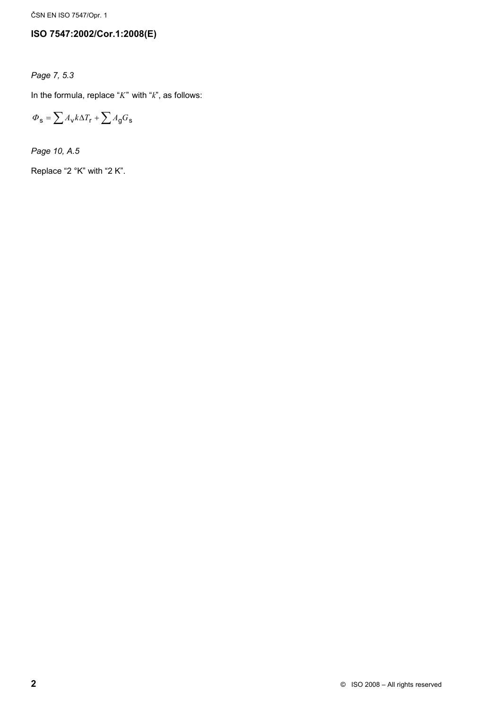ČSN EN ISO 7547/Opr. 1

### **ISO 7547:2002/Cor.1:2008(E)**

*Page 7, 5.3* 

In the formula, replace "*K*" with "*k*", as follows:

$$
\boldsymbol{\varPhi}_{\rm S} = \sum A_{\rm V} k \Delta T_{\rm r} + \sum A_{\rm g} G_{\rm S}
$$

*Page 10, A.5* 

Replace "2 °K" with "2 K".